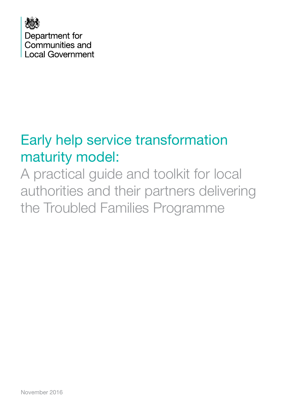

# Early help service transformation maturity model:

A practical guide and toolkit for local authorities and their partners delivering the Troubled Families Programme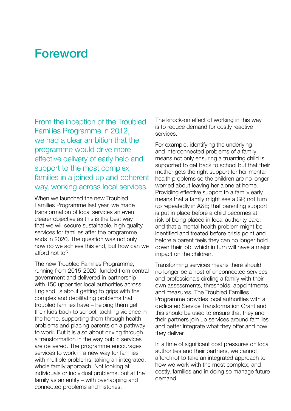## Foreword

From the inception of the Troubled Families Programme in 2012, we had a clear ambition that the programme would drive more effective delivery of early help and support to the most complex families in a joined up and coherent way, working across local services.

When we launched the new Troubled Families Programme last year, we made transformation of local services an even clearer objective as this is the best way that we will secure sustainable, high quality services for families after the programme ends in 2020. The question was not only how do we achieve this end, but how can we afford not to?

The new Troubled Families Programme, running from 2015-2020, funded from central government and delivered in partnership with 150 upper tier local authorities across England, is about getting to grips with the complex and debilitating problems that troubled families have – helping them get their kids back to school, tackling violence in the home, supporting them through health problems and placing parents on a pathway to work. But it is also about driving through a transformation in the way public services are delivered. The programme encourages services to work in a new way for families with multiple problems, taking an integrated, whole family approach. Not looking at individuals or individual problems, but at the family as an entity – with overlapping and connected problems and histories.

The knock-on effect of working in this way is to reduce demand for costly reactive services.

For example, identifying the underlying and interconnected problems of a family means not only ensuring a truanting child is supported to get back to school but that their mother gets the right support for her mental health problems so the children are no longer worried about leaving her alone at home. Providing effective support to a family early means that a family might see a GP, not turn up repeatedly in A&E; that parenting support is put in place before a child becomes at risk of being placed in local authority care; and that a mental health problem might be identified and treated before crisis point and before a parent feels they can no longer hold down their job, which in turn will have a major impact on the children.

Transforming services means there should no longer be a host of unconnected services and professionals circling a family with their own assessments, thresholds, appointments and measures. The Troubled Families Programme provides local authorities with a dedicated Service Transformation Grant and this should be used to ensure that they and their partners join up services around families and better integrate what they offer and how they deliver.

In a time of significant cost pressures on local authorities and their partners, we cannot afford not to take an integrated approach to how we work with the most complex, and costly, families and in doing so manage future demand.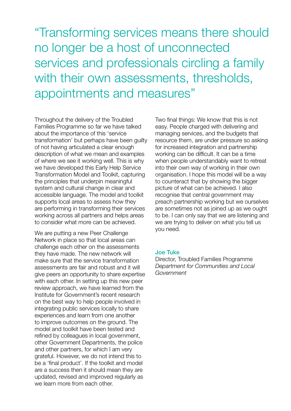"Transforming services means there should no longer be a host of unconnected services and professionals circling a family with their own assessments, thresholds, appointments and measures"

Throughout the delivery of the Troubled Families Programme so far we have talked about the importance of this 'service transformation' but perhaps have been guilty of not having articulated a clear enough description of what we mean and examples of where we see it working well. This is why we have developed this Early Help Service Transformation Model and Toolkit, capturing the principles that underpin meaningful system and cultural change in clear and accessible language. The model and toolkit supports local areas to assess how they are performing in transforming their services working across all partners and helps areas to consider what more can be achieved.

We are putting a new Peer Challenge Network in place so that local areas can challenge each other on the assessments they have made. The new network will make sure that the service transformation assessments are fair and robust and it will give peers an opportunity to share expertise with each other. In setting up this new peer review approach, we have learned from the Institute for Government's recent research on the best way to help people involved in integrating public services locally to share experiences and learn from one another to improve outcomes on the ground. The model and toolkit have been tested and refined by colleagues in local government, other Government Departments, the police and other partners, for which I am very grateful. However, we do not intend this to be a 'final product'. If the toolkit and model are a success then it should mean they are updated, revised and improved regularly as we learn more from each other.

Two final things: We know that this is not easy. People charged with delivering and managing services, and the budgets that resource them, are under pressure so asking for increased integration and partnership working can be difficult. It can be a time when people understandably want to retreat into their own way of working in their own organisation. I hope this model will be a way to counteract that by showing the bigger picture of what can be achieved. I also recognise that central government may preach partnership working but we ourselves are sometimes not as joined up as we ought to be. I can only say that we are listening and we are trying to deliver on what you tell us you need.

#### Joe Tuke

Director, Troubled Families Programme *Department for Communities and Local Government*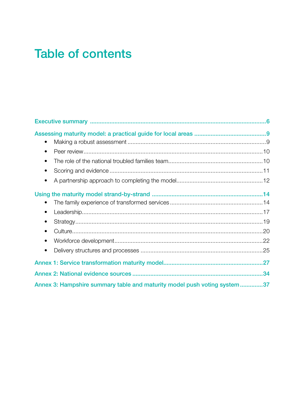## **Table of contents**

| $\bullet$                                                                 |  |
|---------------------------------------------------------------------------|--|
| $\bullet$                                                                 |  |
| $\bullet$                                                                 |  |
| $\bullet$                                                                 |  |
|                                                                           |  |
|                                                                           |  |
| $\bullet$                                                                 |  |
|                                                                           |  |
| $\bullet$                                                                 |  |
| $\bullet$                                                                 |  |
| $\bullet$                                                                 |  |
|                                                                           |  |
|                                                                           |  |
| Annex 3: Hampshire summary table and maturity model push voting system 37 |  |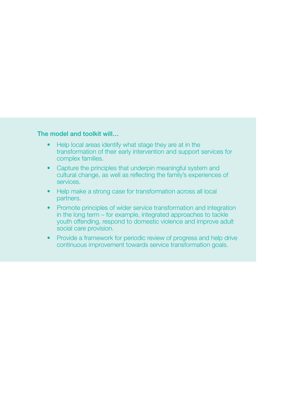#### The model and toolkit will…

- Help local areas identify what stage they are at in the transformation of their early intervention and support services for complex families.
- Capture the principles that underpin meaningful system and cultural change, as well as reflecting the family's experiences of services.
- Help make a strong case for transformation across all local partners.
- Promote principles of wider service transformation and integration in the long term – for example, integrated approaches to tackle youth offending, respond to domestic violence and improve adult social care provision.
- Provide a framework for periodic review of progress and help drive continuous improvement towards service transformation goals.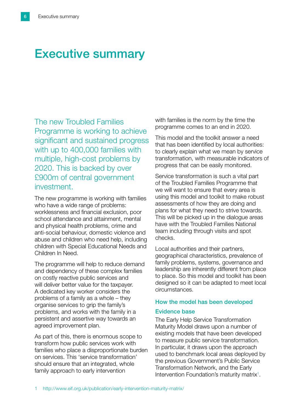## Executive summary

The new Troubled Families Programme is working to achieve significant and sustained progress with up to 400,000 families with multiple, high-cost problems by 2020. This is backed by over £900m of central government investment.

The new programme is working with families who have a wide range of problems: worklessness and financial exclusion, poor school attendance and attainment, mental and physical health problems, crime and anti-social behaviour, domestic violence and abuse and children who need help, including children with Special Educational Needs and Children In Need.

The programme will help to reduce demand and dependency of these complex families on costly reactive public services and will deliver better value for the taxpayer. A dedicated key worker considers the problems of a family as a whole – they organise services to grip the family's problems, and works with the family in a persistent and assertive way towards an agreed improvement plan.

As part of this, there is enormous scope to transform how public services work with families who place a disproportionate burden on services. This 'service transformation' should ensure that an integrated, whole family approach to early intervention

with families is the norm by the time the programme comes to an end in 2020.

This model and the toolkit answer a need that has been identified by local authorities: to clearly explain what we mean by service transformation, with measurable indicators of progress that can be easily monitored.

Service transformation is such a vital part of the Troubled Families Programme that we will want to ensure that every area is using this model and toolkit to make robust assessments of how they are doing and plans for what they need to strive towards. This will be picked up in the dialogue areas have with the Troubled Families National team including through visits and spot checks.

Local authorities and their partners, geographical characteristics, prevalence of family problems, systems, governance and leadership are inherently different from place to place. So this model and toolkit has been designed so it can be adapted to meet local circumstances.

### How the model has been developed

#### Evidence base

The Early Help Service Transformation Maturity Model draws upon a number of existing models that have been developed to measure public service transformation. In particular, it draws upon the approach used to benchmark local areas deployed by the previous Government's Public Service Transformation Network, and the Early Intervention Foundation's maturity matrix<sup>1</sup>.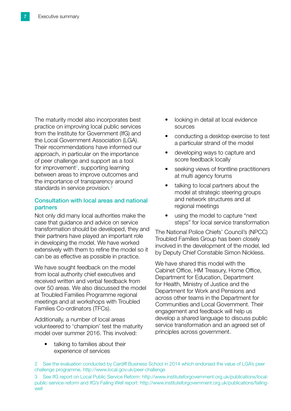The maturity model also incorporates best practice on improving local public services from the Institute for Government (IfG) and the Local Government Association (LGA). Their recommendations have informed our approach, in particular on the importance of peer challenge and support as a tool for improvement<sup>2</sup>, supporting learning between areas to improve outcomes and the importance of transparency around standards in service provision.<sup>3</sup>

#### Consultation with local areas and national partners

Not only did many local authorities make the case that guidance and advice on service transformation should be developed, they and their partners have played an important role in developing the model. We have worked extensively with them to refine the model so it can be as effective as possible in practice.

We have sought feedback on the model from local authority chief executives and received written and verbal feedback from over 50 areas. We also discussed the model at Troubled Families Programme regional meetings and at workshops with Troubled Families Co-ordinators (TFCs).

Additionally, a number of local areas volunteered to 'champion' test the maturity model over summer 2016. This involved:

> talking to families about their experience of services

- looking in detail at local evidence sources
- conducting a desktop exercise to test a particular strand of the model
- developing ways to capture and score feedback locally
- seeking views of frontline practitioners at multi agency forums
- talking to local partners about the model at strategic steering groups and network structures and at regional meetings
- using the model to capture "next steps" for local service transformation

The National Police Chiefs' Council's (NPCC) Troubled Families Group has been closely involved in the development of the model, led by Deputy Chief Constable Simon Nickless.

We have shared this model with the Cabinet Office, HM Treasury, Home Office, Department for Education, Department for Health, Ministry of Justice and the Department for Work and Pensions and across other teams in the Department for Communities and Local Government. Their engagement and feedback will help us develop a shared language to discuss public service transformation and an agreed set of principles across government.

<sup>2</sup> See the evaluation conducted by Cardiff Business School in 2014 which endorsed the value of LGA's peer challenge programme, <http://www.local.gov.uk/peer-challenge>

<sup>3</sup> See IfG report on Local Public Service Reform: [http://www.instituteforgovernment.org.uk/publications/local](http://www.instituteforgovernment.org.uk/publications/local-public-service-reform)[public-service-reform](http://www.instituteforgovernment.org.uk/publications/local-public-service-reform) and IfG's Failing Well report: [http://www.instituteforgovernment.org.uk/publications/failing](http://www.instituteforgovernment.org.uk/publications/failing-well)[well](http://www.instituteforgovernment.org.uk/publications/failing-well)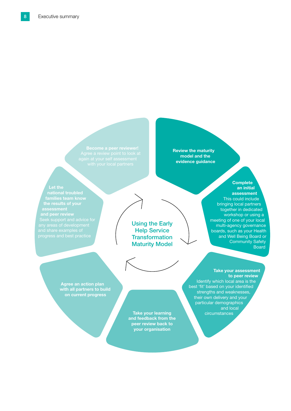Review the maturity model and the evidence guidance

#### Let the

Using the Early **Help Service Transformation** Maturity Model

**Complete** an initial assessment This could include bringing local partners together in dedicated workshop or using a meeting of one of your local multi-agency governance boards, such as your Health and Well Being Board or Community Safety **Board** 

Agree an action plan with all partners to build on current progress

> and feedback from the peer review back to your organisation

Take your assessment to peer review

Identify which local area is the best 'fit' based on your identified strengths and weaknesses, their own delivery and your particular demographics and local Take your learning and solution of the circumstances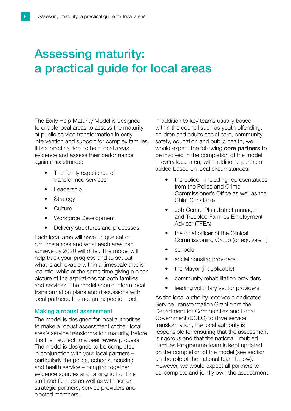## Assessing maturity: a practical guide for local areas

The Early Help Maturity Model is designed to enable local areas to assess the maturity of public service transformation in early intervention and support for complex families. It is a practical tool to help local areas evidence and assess their performance against six strands:

- The family experience of transformed services
- Leadership
- **Strategy**
- Culture
- Workforce Development
- Delivery structures and processes

Each local area will have unique set of circumstances and what each area can achieve by 2020 will differ. The model will help track your progress and to set out what is achievable within a timescale that is realistic, while at the same time giving a clear picture of the aspirations for both families and services. The model should inform local transformation plans and discussions with local partners. It is not an inspection tool.

#### Making a robust assessment

The model is designed for local authorities to make a robust assessment of their local area's service transformation maturity, before it is then subject to a peer review process. The model is designed to be completed in conjunction with your local partners – particularly the police, schools, housing and health service – bringing together evidence sources and talking to frontline staff and families as well as with senior strategic partners, service providers and elected members.

In addition to key teams usually based within the council such as youth offending, children and adults social care, community safety, education and public health, we would expect the following core partners to be involved in the completion of the model in every local area, with additional partners added based on local circumstances:

- the police  $-$  including representatives from the Police and Crime Commissioner's Office as well as the Chief Constable
- Job Centre Plus district manager and Troubled Families Employment Adviser (TFEA)
- the chief officer of the Clinical Commissioning Group (or equivalent)
- schools
- social housing providers
- the Mayor (if applicable)
- community rehabilitation providers
- leading voluntary sector providers

As the local authority receives a dedicated Service Transformation Grant from the Department for Communities and Local Government (DCLG) to drive service transformation, the local authority is responsible for ensuring that the assessment is rigorous and that the national Troubled Families Programme team is kept updated on the completion of the model (see section on the role of the national team below). However, we would expect all partners to co-complete and jointly own the assessment.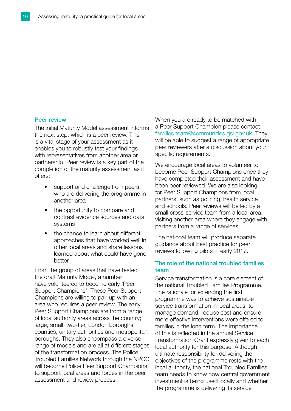#### Peer review

The initial Maturity Model assessment informs the next step, which is a peer review. This is a vital stage of your assessment as it enables you to robustly test your findings with representatives from another area or partnership. Peer review is a key part of the completion of the maturity assessment as it offers:

- support and challenge from peers who are delivering the programme in another area
- the opportunity to compare and contrast evidence sources and data systems
- the chance to learn about different approaches that have worked well in other local areas and share lessons learned about what could have gone better

From the group of areas that have tested the draft Maturity Model, a number have volunteered to become early 'Peer Support Champions'. These Peer Support Champions are willing to pair up with an area who requires a peer review. The early Peer Support Champions are from a range of local authority areas across the country; large, small, two-tier, London boroughs, counties, unitary authorities and metropolitan boroughs. They also encompass a diverse range of models and are all at different stages of the transformation process. The Police Troubled Families Network through the NPCC will become Police Peer Support Champions, to support local areas and forces in the peer assessment and review process.

When you are ready to be matched with a Peer Support Champion please contact [families.team@communities.gsi.gov.uk.](mailto:families.team%40communities.gsi.gov.uk?subject=) They will be able to suggest a range of appropriate peer reviewers after a discussion about your specific requirements.

We encourage local areas to volunteer to become Peer Support Champions once they have completed their assessment and have been peer reviewed. We are also looking for Peer Support Champions from local partners, such as policing, health service and schools. Peer reviews will be led by a small cross-service team from a local area, visiting another area where they engage with partners from a range of services.

The national team will produce separate guidance about best practice for peer reviews following pilots in early 2017.

#### The role of the national troubled families team

Service transformation is a core element of the national Troubled Families Programme. The rationale for extending the first programme was to achieve sustainable service transformation in local areas, to manage demand, reduce cost and ensure more effective interventions were offered to families in the long term. The importance of this is reflected in the annual Service Transformation Grant expressly given to each local authority for this purpose. Although ultimate responsibility for delivering the objectives of the programme rests with the local authority, the national Troubled Families team needs to know how central government investment is being used locally and whether the programme is delivering its service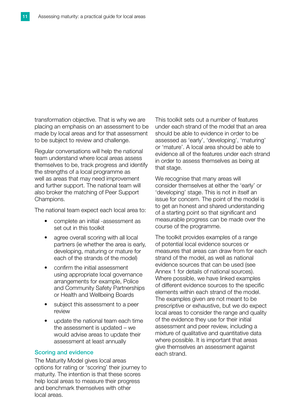transformation objective. That is why we are placing an emphasis on an assessment to be made by local areas and for that assessment to be subject to review and challenge.

Regular conversations will help the national team understand where local areas assess themselves to be, track progress and identify the strengths of a local programme as well as areas that may need improvement and further support. The national team will also broker the matching of Peer Support Champions.

The national team expect each local area to:

- complete an initial -assessment as set out in this toolkit
- agree overall scoring with all local partners (ie whether the area is early, developing, maturing or mature for each of the strands of the model)
- confirm the initial assessment using appropriate local governance arrangements for example, Police and Community Safety Partnerships or Health and Wellbeing Boards
- subject this assessment to a peer review
- update the national team each time the assessment is updated – we would advise areas to update their assessment at least annually

#### Scoring and evidence

The Maturity Model gives local areas options for rating or 'scoring' their journey to maturity. The intention is that these scores help local areas to measure their progress and benchmark themselves with other local areas.

This toolkit sets out a number of features under each strand of the model that an area should be able to evidence in order to be assessed as 'early', 'developing', 'maturing' or 'mature'. A local area should be able to evidence all of the features under each strand in order to assess themselves as being at that stage.

We recognise that many areas will consider themselves at either the 'early' or 'developing' stage. This is not in itself an issue for concern. The point of the model is to get an honest and shared understanding of a starting point so that significant and measurable progress can be made over the course of the programme.

The toolkit provides examples of a range of potential local evidence sources or measures that areas can draw from for each strand of the model, as well as national evidence sources that can be used (see Annex 1 for details of national sources). Where possible, we have linked examples of different evidence sources to the specific elements within each strand of the model. The examples given are not meant to be prescriptive or exhaustive, but we do expect local areas to consider the range and quality of the evidence they use for their initial assessment and peer review, including a mixture of qualitative and quantitative data where possible. It is important that areas give themselves an assessment against each strand.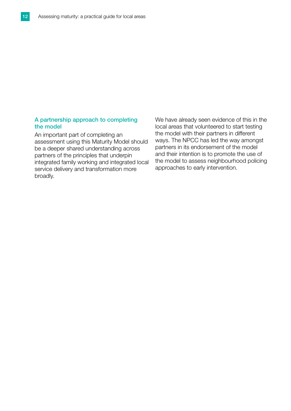#### A partnership approach to completing the model

An important part of completing an assessment using this Maturity Model should be a deeper shared understanding across partners of the principles that underpin integrated family working and integrated local service delivery and transformation more broadly.

We have already seen evidence of this in the local areas that volunteered to start testing the model with their partners in different ways. The NPCC has led the way amongst partners in its endorsement of the model and their intention is to promote the use of the model to assess neighbourhood policing approaches to early intervention.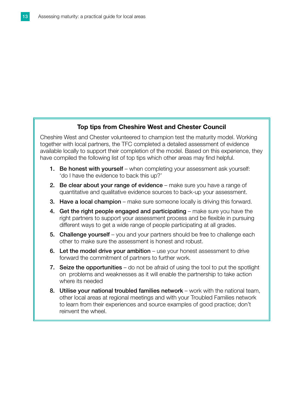#### Top tips from Cheshire West and Chester Council

Cheshire West and Chester volunteered to champion test the maturity model. Working together with local partners, the TFC completed a detailed assessment of evidence available locally to support their completion of the model. Based on this experience, they have compiled the following list of top tips which other areas may find helpful.

- 1. Be honest with yourself when completing your assessment ask yourself: 'do I have the evidence to back this up?'
- 2. Be clear about your range of evidence make sure you have a range of quantitative and qualitative evidence sources to back-up your assessment.
- 3. Have a local champion make sure someone locally is driving this forward.
- 4. Get the right people engaged and participating make sure you have the right partners to support your assessment process and be flexible in pursuing different ways to get a wide range of people participating at all grades.
- 5. Challenge yourself you and your partners should be free to challenge each other to make sure the assessment is honest and robust.
- 6. Let the model drive your ambition  $-$  use your honest assessment to drive forward the commitment of partners to further work.
- 7. Seize the opportunities  $-$  do not be afraid of using the tool to put the spotlight on problems and weaknesses as it will enable the partnership to take action where its needed
- 8. Utilise your national troubled families network work with the national team, other local areas at regional meetings and with your Troubled Families network to learn from their experiences and source examples of good practice; don't reinvent the wheel.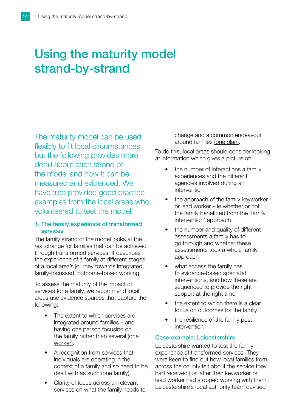## Using the maturity model strand-by-strand

The maturity model can be used flexibly to fit local circumstances but the following provides more detail about each strand of the model and how it can be measured and evidenced. We have also provided good practice examples from the local areas who volunteered to test the model.

#### 1. The family experience of transformed services

The family strand of the model looks at the real change for families that can be achieved through transformed services. It describes the experience of a family at different stages of a local area's journey towards integrated, family-focussed, outcome-based working.

To assess the maturity of the impact of services for a family, we recommend local areas use evidence sources that capture the following:

- The extent to which services are integrated around families – and having one person focusing on the family rather than several (one worker).
- A recognition from services that individuals are operating in the context of a family and so need to be dealt with as such (one family).
- Clarity of focus across all relevant services on what the family needs to

change and a common endeavour around families (one plan).

To do this, local areas should consider looking at information which gives a picture of:

- the number of interactions a family experiences and the different agencies involved during an intervention
- the approach of the family keyworker or lead worker – ie whether or not the family benefitted from the 'family intervention' approach
- the number and quality of different assessments a family has to go through and whether these assessments took a whole family approach
- what access the family has to evidence-based specialist interventions, and how these are sequenced to provide the right support at the right time
- the extent to which there is a clear focus on outcomes for the family
- the resilience of the family postintervention

#### Case example: Leicestershire

Leicestershire wanted to test the family experience of transformed services. They were keen to find out how local families from across the county felt about the service they had received just after their keyworker or lead worker had stopped working with them. Leicestershire's local authority team devised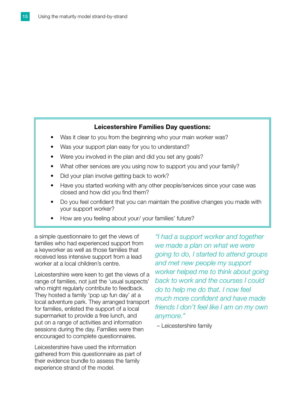#### Leicestershire Families Day questions:

- Was it clear to you from the beginning who your main worker was?
- Was your support plan easy for you to understand?
- Were you involved in the plan and did you set any goals?
- What other services are you using now to support you and your family?
- Did your plan involve getting back to work?
- Have you started working with any other people/services since your case was closed and how did you find them?
- Do you feel confident that you can maintain the positive changes you made with your support worker?
- How are you feeling about your/ your families' future?

a simple questionnaire to get the views of families who had experienced support from a keyworker as well as those families that received less intensive support from a lead worker at a local children's centre.

Leicestershire were keen to get the views of a range of families, not just the 'usual suspects' who might regularly contribute to feedback. They hosted a family 'pop up fun day' at a local adventure park. They arranged transport for families, enlisted the support of a local supermarket to provide a free lunch, and put on a range of activities and information sessions during the day. Families were then encouraged to complete questionnaires.

Leicestershire have used the information gathered from this questionnaire as part of their evidence bundle to assess the family experience strand of the model.

*"I had a support worker and together we made a plan on what we were going to do, I started to attend groups and met new people my support worker helped me to think about going back to work and the courses I could do to help me do that. I now feel much more confident and have made friends I don't feel like I am on my own anymore."*

– Leicestershire family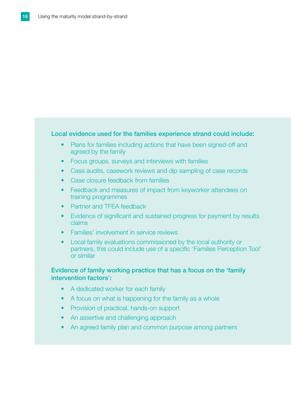#### Local evidence used for the families experience strand could include:

- Plans for families including actions that have been signed-off and agreed by the family
- Focus groups, surveys and interviews with families
- Case audits, casework reviews and dip sampling of case records
- Case closure feedback from families
- Feedback and measures of impact from keyworker attendees on training programmes
- Partner and TFEA feedback
- Evidence of significant and sustained progress for payment by results claims
- Families' involvement in service reviews
- Local family evaluations commissioned by the local authority or partners, this could include use of a specific 'Families Perception Tool' or similar

#### Evidence of family working practice that has a focus on the 'family intervention factors':

- A dedicated worker for each family
- A focus on what is happening for the family as a whole
- Provision of practical, hands-on support
- An assertive and challenging approach
- An agreed family plan and common purpose among partners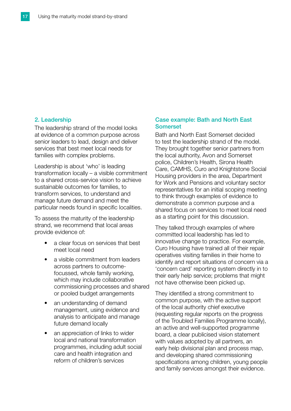#### 2. Leadership

The leadership strand of the model looks at evidence of a common purpose across senior leaders to lead, design and deliver services that best meet local needs for families with complex problems.

Leadership is about 'who' is leading transformation locally – a visible commitment to a shared cross-service vision to achieve sustainable outcomes for families, to transform services, to understand and manage future demand and meet the particular needs found in specific localities.

To assess the maturity of the leadership strand, we recommend that local areas provide evidence of:

- a clear focus on services that best meet local need
- a visible commitment from leaders across partners to outcomefocussed, whole family working, which may include collaborative commissioning processes and shared or pooled budget arrangements
- an understanding of demand management, using evidence and analysis to anticipate and manage future demand locally
- an appreciation of links to wider local and national transformation programmes, including adult social care and health integration and reform of children's services

#### Case example: Bath and North East **Somerset**

Bath and North East Somerset decided to test the leadership strand of the model. They brought together senior partners from the local authority, Avon and Somerset police, Children's Health, Sirona Health Care, CAMHS, Curo and Knightstone Social Housing providers in the area, Department for Work and Pensions and voluntary sector representatives for an initial scoping meeting to think through examples of evidence to demonstrate a common purpose and a shared focus on services to meet local need as a starting point for this discussion.

They talked through examples of where committed local leadership has led to innovative change to practice. For example, Curo Housing have trained all of their repair operatives visiting families in their home to identify and report situations of concern via a 'concern card' reporting system directly in to their early help service; problems that might not have otherwise been picked up.

They identified a strong commitment to common purpose, with the active support of the local authority chief executive (requesting regular reports on the progress of the Troubled Families Programme locally), an active and well-supported programme board, a clear publicised vision statement with values adopted by all partners, an early help divisional plan and process map, and developing shared commissioning specifications among children, young people and family services amongst their evidence.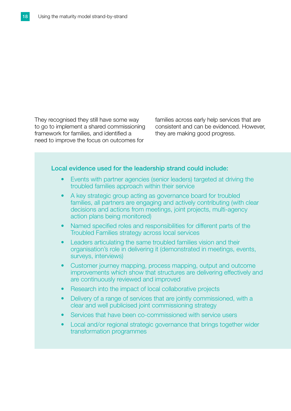They recognised they still have some way to go to implement a shared commissioning framework for families, and identified a need to improve the focus on outcomes for

families across early help services that are consistent and can be evidenced. However, they are making good progress.

#### Local evidence used for the leadership strand could include:

- Events with partner agencies (senior leaders) targeted at driving the troubled families approach within their service
- A key strategic group acting as governance board for troubled families, all partners are engaging and actively contributing (with clear decisions and actions from meetings, joint projects, multi-agency action plans being monitored)
- Named specified roles and responsibilities for different parts of the Troubled Families strategy across local services
- Leaders articulating the same troubled families vision and their organisation's role in delivering it (demonstrated in meetings, events, surveys, interviews)
- Customer journey mapping, process mapping, output and outcome improvements which show that structures are delivering effectively and are continuously reviewed and improved
- Research into the impact of local collaborative projects
- Delivery of a range of services that are jointly commissioned, with a clear and well publicised joint commissioning strategy
- Services that have been co-commissioned with service users
- Local and/or regional strategic governance that brings together wider transformation programmes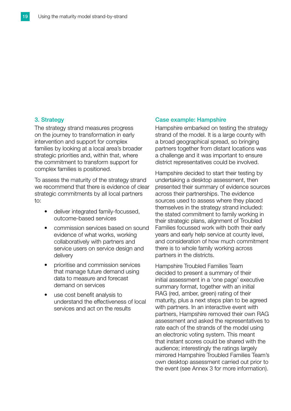#### 3. Strategy

The strategy strand measures progress on the journey to transformation in early intervention and support for complex families by looking at a local area's broader strategic priorities and, within that, where the commitment to transform support for complex families is positioned.

To assess the maturity of the strategy strand we recommend that there is evidence of clear strategic commitments by all local partners to:

- deliver integrated family-focussed, outcome-based services
- commission services based on sound evidence of what works, working collaboratively with partners and service users on service design and delivery
- prioritise and commission services that manage future demand using data to measure and forecast demand on services
- use cost benefit analysis to understand the effectiveness of local services and act on the results

#### Case example: Hampshire

Hampshire embarked on testing the strategy strand of the model. It is a large county with a broad geographical spread, so bringing partners together from distant locations was a challenge and it was important to ensure district representatives could be involved.

Hampshire decided to start their testing by undertaking a desktop assessment, then presented their summary of evidence sources across their partnerships. The evidence sources used to assess where they placed themselves in the strategy strand included: the stated commitment to family working in their strategic plans, alignment of Troubled Families focussed work with both their early years and early help service at county level, and consideration of how much commitment there is to whole family working across partners in the districts.

Hampshire Troubled Families Team decided to present a summary of their initial assessment in a 'one page' executive summary format, together with an initial RAG (red, amber, green) rating of their maturity, plus a next steps plan to be agreed with partners. In an interactive event with partners, Hampshire removed their own RAG assessment and asked the representatives to rate each of the strands of the model using an electronic voting system. This meant that instant scores could be shared with the audience; interestingly the ratings largely mirrored Hampshire Troubled Families Team's own desktop assessment carried out prior to the event (see Annex 3 for more information).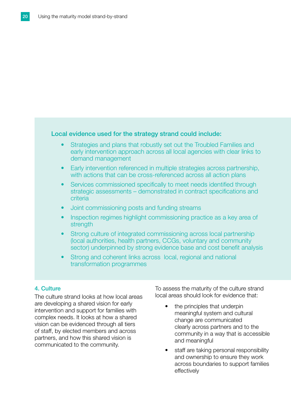#### Local evidence used for the strategy strand could include:

- Strategies and plans that robustly set out the Troubled Families and early intervention approach across all local agencies with clear links to demand management
- Early intervention referenced in multiple strategies across partnership, with actions that can be cross-referenced across all action plans
- Services commissioned specifically to meet needs identified through strategic assessments – demonstrated in contract specifications and criteria
- Joint commissioning posts and funding streams
- Inspection regimes highlight commissioning practice as a key area of strength
- Strong culture of integrated commissioning across local partnership (local authorities, health partners, CCGs, voluntary and community sector) underpinned by strong evidence base and cost benefit analysis
- Strong and coherent links across local, regional and national transformation programmes

#### 4. Culture

The culture strand looks at how local areas are developing a shared vision for early intervention and support for families with complex needs. It looks at how a shared vision can be evidenced through all tiers of staff, by elected members and across partners, and how this shared vision is communicated to the community.

To assess the maturity of the culture strand local areas should look for evidence that:

- the principles that underpin meaningful system and cultural change are communicated clearly across partners and to the community in a way that is accessible and meaningful
- staff are taking personal responsibility and ownership to ensure they work across boundaries to support families effectively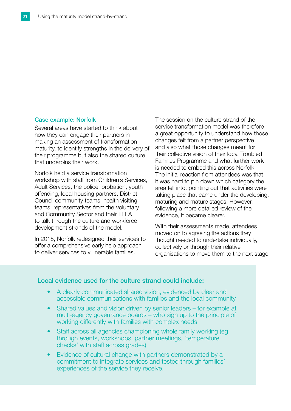#### Case example: Norfolk

Several areas have started to think about how they can engage their partners in making an assessment of transformation maturity, to identify strengths in the delivery of their programme but also the shared culture that underpins their work.

Norfolk held a service transformation workshop with staff from Children's Services, Adult Services, the police, probation, youth offending, local housing partners, District Council community teams, health visiting teams, representatives from the Voluntary and Community Sector and their TFEA to talk through the culture and workforce development strands of the model.

In 2015, Norfolk redesigned their services to offer a comprehensive early help approach to deliver services to vulnerable families.

The session on the culture strand of the service transformation model was therefore a great opportunity to understand how those changes felt from a partner perspective and also what those changes meant for their collective vision of their local Troubled Families Programme and what further work is needed to embed this across Norfolk. The initial reaction from attendees was that it was hard to pin down which category the area fell into, pointing out that activities were taking place that came under the developing, maturing and mature stages. However, following a more detailed review of the evidence, it became clearer.

With their assessments made, attendees moved on to agreeing the actions they thought needed to undertake individually, collectively or through their relative organisations to move them to the next stage.

#### Local evidence used for the culture strand could include:

- A clearly communicated shared vision, evidenced by clear and accessible communications with families and the local community
- Shared values and vision driven by senior leaders for example at multi-agency governance boards – who sign up to the principle of working differently with families with complex needs
- Staff across all agencies championing whole family working (eg through events, workshops, partner meetings, 'temperature checks' with staff across grades)
- Evidence of cultural change with partners demonstrated by a commitment to integrate services and tested through families' experiences of the service they receive.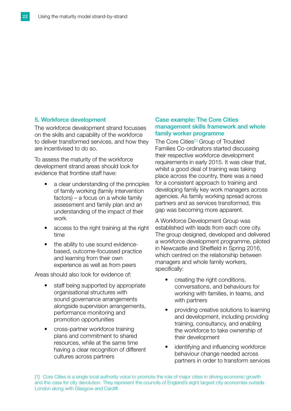#### 5. Workforce development

The workforce development strand focusses on the skills and capability of the workforce to deliver transformed services, and how they are incentivised to do so.

To assess the maturity of the workforce development strand areas should look for evidence that frontline staff have:

- a clear understanding of the principles of family working (family intervention factors) – a focus on a whole family assessment and family plan and an understanding of the impact of their work
- access to the right training at the right time
- the ability to use sound evidencebased, outcome-focussed practice and learning from their own experience as well as from peers

Areas should also look for evidence of:

- staff being supported by appropriate organisational structures with sound governance arrangements alongside supervision arrangements, performance monitoring and promotion opportunities
- cross-partner workforce training plans and commitment to shared resources, while at the same time having a clear recognition of different cultures across partners

#### Case example: The Core Cities management skills framework and whole family worker programme

The Core Cities<sup>[1]</sup> Group of Troubled Families Co-ordinators started discussing their respective workforce development requirements in early 2015. It was clear that, whilst a good deal of training was taking place across the country, there was a need for a consistent approach to training and developing family key work managers across agencies. As family working spread across partners and as services transformed, this gap was becoming more apparent.

A Workforce Development Group was established with leads from each core city. The group designed, developed and delivered a workforce development programme, piloted in Newcastle and Sheffield in Spring 2016, which centred on the relationship between managers and whole family workers, specifically:

- creating the right conditions, conversations, and behaviours for working with families, in teams, and with partners
- providing creative solutions to learning and development, including providing training, consultancy, and enabling the workforce to take ownership of their development
- identifying and influencing workforce behaviour change needed across partners in order to transform services

[1] Core Cities is a single local authority voice to promote the role of major cities in driving economic growth and the case for city devolution. They represent the councils of England's eight largest city economies outside London along with Glasgow and Cardiff.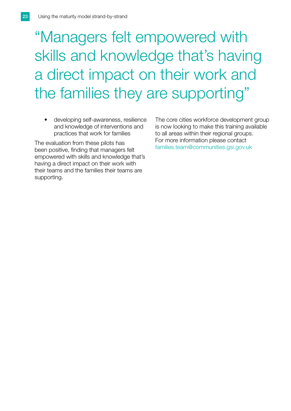# "Managers felt empowered with skills and knowledge that's having a direct impact on their work and the families they are supporting"

• developing self-awareness, resilience and knowledge of interventions and practices that work for families

The evaluation from these pilots has been positive, finding that managers felt empowered with skills and knowledge that's having a direct impact on their work with their teams and the families their teams are supporting.

The core cities workforce development group is now looking to make this training available to all areas within their regional groups. For more information please contact [families.team@communities.gsi.gov.uk](mailto:families.team%40communities.gsi.gov.uk?subject=)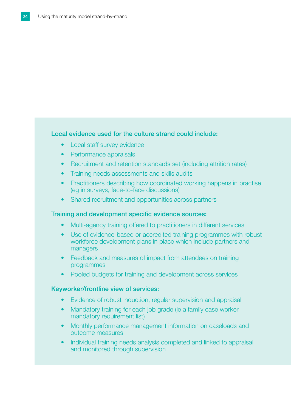#### Local evidence used for the culture strand could include:

- Local staff survey evidence
- Performance appraisals
- Recruitment and retention standards set (including attrition rates)
- Training needs assessments and skills audits
- Practitioners describing how coordinated working happens in practise (eg in surveys, face-to-face discussions)
- Shared recruitment and opportunities across partners

#### Training and development specific evidence sources:

- Multi-agency training offered to practitioners in different services
- Use of evidence-based or accredited training programmes with robust workforce development plans in place which include partners and managers
- Feedback and measures of impact from attendees on training programmes
- Pooled budgets for training and development across services

#### Keyworker/frontline view of services:

- Evidence of robust induction, regular supervision and appraisal
- Mandatory training for each job grade (ie a family case worker mandatory requirement list)
- Monthly performance management information on caseloads and outcome measures
- Individual training needs analysis completed and linked to appraisal and monitored through supervision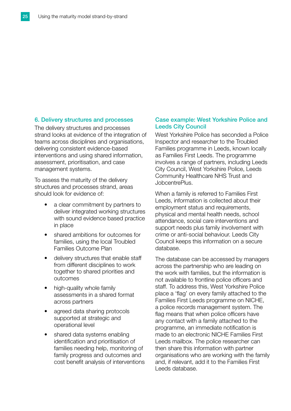#### 6. Delivery structures and processes

The delivery structures and processes strand looks at evidence of the integration of teams across disciplines and organisations, delivering consistent evidence-based interventions and using shared information, assessment, prioritisation, and case management systems.

To assess the maturity of the delivery structures and processes strand, areas should look for evidence of:

- a clear commitment by partners to deliver integrated working structures with sound evidence based practice in place
- shared ambitions for outcomes for families, using the local Troubled Families Outcome Plan
- delivery structures that enable staff from different disciplines to work together to shared priorities and outcomes
- high-quality whole family assessments in a shared format across partners
- agreed data sharing protocols supported at strategic and operational level
- shared data systems enabling identification and prioritisation of families needing help, monitoring of family progress and outcomes and cost benefit analysis of interventions

#### Case example: West Yorkshire Police and Leeds City Council

West Yorkshire Police has seconded a Police Inspector and researcher to the Troubled Families programme in Leeds, known locally as Families First Leeds. The programme involves a range of partners, including Leeds City Council, West Yorkshire Police, Leeds Community Healthcare NHS Trust and JobcentrePlus.

When a family is referred to Families First Leeds, information is collected about their employment status and requirements, physical and mental health needs, school attendance, social care interventions and support needs plus family involvement with crime or anti-social behaviour. Leeds City Council keeps this information on a secure database.

The database can be accessed by managers across the partnership who are leading on the work with families, but the information is not available to frontline police officers and staff. To address this, West Yorkshire Police place a 'flag' on every family attached to the Families First Leeds programme on NICHE, a police records management system. The flag means that when police officers have any contact with a family attached to the programme, an immediate notification is made to an electronic NICHE Families First Leeds mailbox. The police researcher can then share this information with partner organisations who are working with the family and, if relevant, add it to the Families First Leeds database.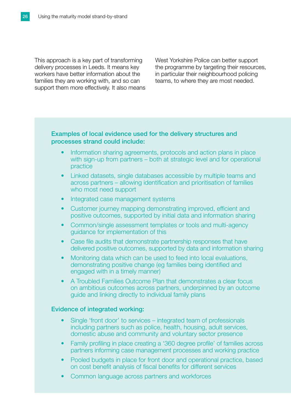This approach is a key part of transforming delivery processes in Leeds. It means key workers have better information about the families they are working with, and so can support them more effectively. It also means West Yorkshire Police can better support the programme by targeting their resources, in particular their neighbourhood policing teams, to where they are most needed.

#### Examples of local evidence used for the delivery structures and processes strand could include:

- Information sharing agreements, protocols and action plans in place with sign-up from partners – both at strategic level and for operational practice
- Linked datasets, single databases accessible by multiple teams and across partners – allowing identification and prioritisation of families who most need support
- Integrated case management systems
- Customer journey mapping demonstrating improved, efficient and positive outcomes, supported by initial data and information sharing
- Common/single assessment templates or tools and multi-agency guidance for implementation of this
- Case file audits that demonstrate partnership responses that have delivered positive outcomes, supported by data and information sharing
- Monitoring data which can be used to feed into local evaluations, demonstrating positive change (eg families being identified and engaged with in a timely manner)
- A Troubled Families Outcome Plan that demonstrates a clear focus on ambitious outcomes across partners, underpinned by an outcome guide and linking directly to individual family plans

#### Evidence of integrated working:

- Single 'front door' to services integrated team of professionals including partners such as police, health, housing, adult services, domestic abuse and community and voluntary sector presence
- Family profiling in place creating a '360 degree profile' of families across partners informing case management processes and working practice
- Pooled budgets in place for front door and operational practice, based on cost benefit analysis of fiscal benefits for different services
- Common language across partners and workforces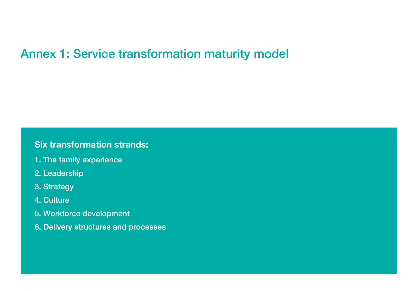## Annex 1: Service transformation maturity model

## Six transformation strands:

- 1. The family experience
- 2. Leadership
- 3. Strategy

### 4. Culture

- 5. Workforce development
- 6. Delivery structures and processes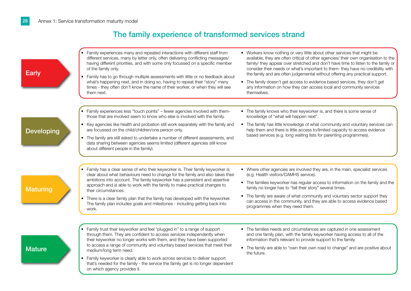### The family experience of transformed services strand

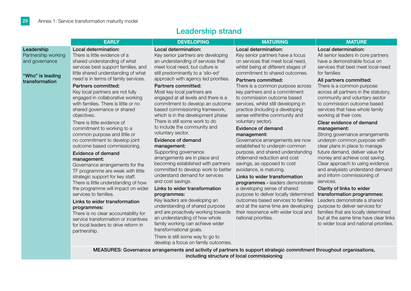### Leadership strand

|                                                                                           | <b>EARLY</b>                                                                                                                                                                                                                                                                                                                                                                                                                                                                                                                                                                                                                                                                                                                                                                                                                                                                                                                                                                                    | <b>DEVELOPING</b>                                                                                                                                                                                                                                                                                                                                                                                                                                                                                                                                                                                                                                                                                                                                                                                                                                                                                                                                                                                              | <b>MATURING</b>                                                                                                                                                                                                                                                                                                                                                                                                                                                                                                                                                                                                                                                                                                                                                                                                                                                                                                                                                          | <b>MATURE</b>                                                                                                                                                                                                                                                                                                                                                                                                                                                                                                                                                                                                                                                                                                                                                                                                                                                                                                                                                                       |
|-------------------------------------------------------------------------------------------|-------------------------------------------------------------------------------------------------------------------------------------------------------------------------------------------------------------------------------------------------------------------------------------------------------------------------------------------------------------------------------------------------------------------------------------------------------------------------------------------------------------------------------------------------------------------------------------------------------------------------------------------------------------------------------------------------------------------------------------------------------------------------------------------------------------------------------------------------------------------------------------------------------------------------------------------------------------------------------------------------|----------------------------------------------------------------------------------------------------------------------------------------------------------------------------------------------------------------------------------------------------------------------------------------------------------------------------------------------------------------------------------------------------------------------------------------------------------------------------------------------------------------------------------------------------------------------------------------------------------------------------------------------------------------------------------------------------------------------------------------------------------------------------------------------------------------------------------------------------------------------------------------------------------------------------------------------------------------------------------------------------------------|--------------------------------------------------------------------------------------------------------------------------------------------------------------------------------------------------------------------------------------------------------------------------------------------------------------------------------------------------------------------------------------------------------------------------------------------------------------------------------------------------------------------------------------------------------------------------------------------------------------------------------------------------------------------------------------------------------------------------------------------------------------------------------------------------------------------------------------------------------------------------------------------------------------------------------------------------------------------------|-------------------------------------------------------------------------------------------------------------------------------------------------------------------------------------------------------------------------------------------------------------------------------------------------------------------------------------------------------------------------------------------------------------------------------------------------------------------------------------------------------------------------------------------------------------------------------------------------------------------------------------------------------------------------------------------------------------------------------------------------------------------------------------------------------------------------------------------------------------------------------------------------------------------------------------------------------------------------------------|
| Leadership<br>Partnership working<br>and governance<br>"Who" is leading<br>transformation | Local determination:<br>There is little evidence of a<br>shared understanding of what<br>services best support families, and<br>little shared understanding of what<br>need is in terms of family services.<br>Partners committed:<br>Key local partners are not fully<br>engaged in collaborative working<br>with families. There is little or no<br>shared governance or shared<br>objectives.<br>There is little evidence of<br>commitment to working to a<br>common purpose and little or<br>no commitment to develop joint<br>outcome based commissioning.<br>Evidence of demand<br>management:<br>Governance arrangements for the<br>TF programme are weak with little<br>strategic support for key staff.<br>There is little understanding of how<br>the programme will impact on wider<br>services to families.<br>Links to wider transformation<br>programmes:<br>There is no clear accountability for<br>service transformation or incentives<br>for local leaders to drive reform in | Local determination:<br>Key senior partners are developing<br>an understanding of services that<br>meet local need, but culture is<br>still predominantly to a 'silo-ed'<br>approach with agency led priorities.<br>Partners committed:<br>Most key local partners are<br>engaged at all levels and there is a<br>commitment to develop an outcome<br>based commissioning framework,<br>which is in the development phase<br>There is still some work to do<br>to include the community and<br>voluntary sector.<br>Evidence of demand<br>management:<br>Supporting governance<br>arrangements are in place and<br>becoming established with partners<br>committed to develop work to better<br>understand demand for services<br>and cost savings.<br>Links to wider transformation<br>programmes:<br>Key leaders are developing an<br>understanding of shared purpose<br>and are proactively working towards<br>an understanding of how whole<br>family working can achieve wider<br>transformational goals. | Local determination:<br>Key senior partners have a focus<br>on services that meet local need.<br>whilst being at different stages of<br>commitment to shared outcomes.<br>Partners committed:<br>There is a common purpose across<br>key partners and a commitment<br>to commission outcome based<br>services, whilst still developing in<br>practice (including a developing<br>sense withinthe community and<br>voluntary sector).<br>Evidence of demand<br>management:<br>Governance arrangements are now<br>established to underpin common<br>purpose, and shared understanding<br>ofdemand reduction and cost<br>savings, as opposed to cost<br>avoidance, is maturing.<br>Links to wider transformation<br>programmes - leaders demonstrate<br>a developing sense of shared<br>purpose to deliver locally determined<br>outcomes based services to families<br>and at the same time are developing<br>their resonance with wider local and<br>national priorities. | Local determination:<br>All senior leaders in core partners<br>have a demonstrable focus on<br>services that best meet local need<br>for families<br>All partners committed:<br>There is a common purpose<br>across all partners in the statutory,<br>community and voluntary sector<br>to commission outcome based<br>services that have whole family<br>working at their core.<br>Clear evidence of demand<br>management:<br>Strong governance arrangements<br>underpin common purpose with<br>clear plans in place to manage<br>future demand, deliver value for<br>money and achieve cost saving.<br>Clear approach to using evidence<br>and analysisto understand demand<br>and inform commissioning of<br>services.<br>Clarity of links to wider<br>transformation programmes:<br>Leaders demonstrate a shared<br>purpose to deliver services for<br>families that are locally determined<br>but at the same time have clear links<br>to wider local and national priorities. |
|                                                                                           | partnership.                                                                                                                                                                                                                                                                                                                                                                                                                                                                                                                                                                                                                                                                                                                                                                                                                                                                                                                                                                                    | There is still some way to go to<br>develop a focus on family outcomes.                                                                                                                                                                                                                                                                                                                                                                                                                                                                                                                                                                                                                                                                                                                                                                                                                                                                                                                                        |                                                                                                                                                                                                                                                                                                                                                                                                                                                                                                                                                                                                                                                                                                                                                                                                                                                                                                                                                                          |                                                                                                                                                                                                                                                                                                                                                                                                                                                                                                                                                                                                                                                                                                                                                                                                                                                                                                                                                                                     |
|                                                                                           |                                                                                                                                                                                                                                                                                                                                                                                                                                                                                                                                                                                                                                                                                                                                                                                                                                                                                                                                                                                                 |                                                                                                                                                                                                                                                                                                                                                                                                                                                                                                                                                                                                                                                                                                                                                                                                                                                                                                                                                                                                                | MEASURES: Governance arrangements and activity of partners to support strategic commitment throughout organisations,<br>including structure of local commissioning                                                                                                                                                                                                                                                                                                                                                                                                                                                                                                                                                                                                                                                                                                                                                                                                       |                                                                                                                                                                                                                                                                                                                                                                                                                                                                                                                                                                                                                                                                                                                                                                                                                                                                                                                                                                                     |
|                                                                                           |                                                                                                                                                                                                                                                                                                                                                                                                                                                                                                                                                                                                                                                                                                                                                                                                                                                                                                                                                                                                 |                                                                                                                                                                                                                                                                                                                                                                                                                                                                                                                                                                                                                                                                                                                                                                                                                                                                                                                                                                                                                |                                                                                                                                                                                                                                                                                                                                                                                                                                                                                                                                                                                                                                                                                                                                                                                                                                                                                                                                                                          |                                                                                                                                                                                                                                                                                                                                                                                                                                                                                                                                                                                                                                                                                                                                                                                                                                                                                                                                                                                     |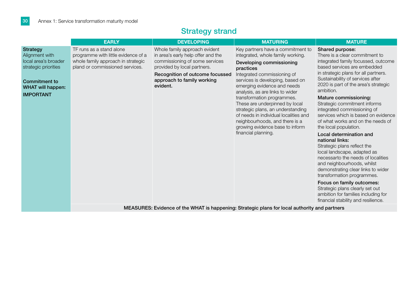|                                                                                                                                                           | <b>EARLY</b>                                                                                                                             | <b>DEVELOPING</b>                                                                                                                                                                                                 | <b>MATURING</b>                                                                                                                                                                                                                                                                                                                                                                                                                                                                                | <b>MATURE</b>                                                                                                                                                                                                                                                                                                                                                                                                                                                                                                                                                                                                                                                                                                                                                                                                                                           |  |
|-----------------------------------------------------------------------------------------------------------------------------------------------------------|------------------------------------------------------------------------------------------------------------------------------------------|-------------------------------------------------------------------------------------------------------------------------------------------------------------------------------------------------------------------|------------------------------------------------------------------------------------------------------------------------------------------------------------------------------------------------------------------------------------------------------------------------------------------------------------------------------------------------------------------------------------------------------------------------------------------------------------------------------------------------|---------------------------------------------------------------------------------------------------------------------------------------------------------------------------------------------------------------------------------------------------------------------------------------------------------------------------------------------------------------------------------------------------------------------------------------------------------------------------------------------------------------------------------------------------------------------------------------------------------------------------------------------------------------------------------------------------------------------------------------------------------------------------------------------------------------------------------------------------------|--|
| <b>Strategy</b><br>Alignment with<br>local area's broader<br>strategic priorities<br><b>Commitment to</b><br><b>WHAT will happen:</b><br><b>IMPORTANT</b> | TF runs as a stand alone<br>programme with little evidence of a<br>whole family approach in strategic<br>pland or commissioned services. | Whole family approach evident<br>in area's early help offer and the<br>commissioning of some services<br>provided by local partners.<br>Recognition of outcome focussed<br>approach to family working<br>evident. | Key partners have a commitment to<br>integrated, whole family working.<br>Developing commissioning<br>practices<br>Integrated commissioning of<br>services is developing, based on<br>emerging evidence and needs<br>analysis, as are links to wider<br>transformation programmes.<br>These are underpinned by local<br>strategic plans, an understanding<br>of needs in individual localities and<br>neighbourhoods, and there is a<br>growing evidence base to inform<br>financial planning. | Shared purpose:<br>There is a clear commitment to<br>integrated family focussed, outcome<br>based services are embedded<br>in strategic plans for all partners.<br>Sustainability of services after<br>2020 is part of the area's strategic<br>ambition.<br>Mature commissioning:<br>Strategic commitment informs<br>integrated commissioning of<br>services which is based on evidence<br>of what works and on the needs of<br>the local population.<br>Local determination and<br>national links:<br>Strategic plans reflect the<br>local landscape, adapted as<br>necessarto the needs of localities<br>and neighbourhoods, whilst<br>demonstrating clear links to wider<br>transformation programmes.<br>Focus on family outcomes:<br>Strategic plans clearly set out<br>ambition for families including for<br>financial stability and resilience. |  |
|                                                                                                                                                           | MEASURES: Evidence of the WHAT is happening: Strategic plans for local authority and partners                                            |                                                                                                                                                                                                                   |                                                                                                                                                                                                                                                                                                                                                                                                                                                                                                |                                                                                                                                                                                                                                                                                                                                                                                                                                                                                                                                                                                                                                                                                                                                                                                                                                                         |  |

## Strategy strand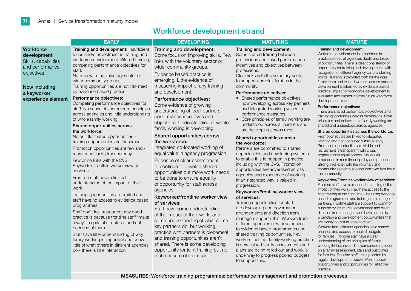### Workforce development strand

|                                                                                                                   | <b>EARLY</b>                                                                                                                                                                                                                                                                                                                                                                                                                                                                                                                                                                                                                                                                                                                                                                                                                                                                                                                                                                                       | <b>DEVELOPING</b>                                                                                                                                                                                                                                                                                                                                                                                                                                                                                                                                                                                                                                                                                                                                                                                                                                                                                 | <b>MATURING</b>                                                                                                                                                                                                                                                                                                                                                                                                                                                                                                                                                                                                                                                                                                                                                                                                                                                                                                                                                                                                                                                                                             | <b>MATURE</b>                                                                                                                                                                                                                                                                                                                                                                                                                                                                                                                                                                                                                                                                                                                                                                                                                                                                                                                                                                                                                                                                                                                                                                                                                                                                                                                                                                                                                                                                                                                                                                                                                                                                                   |
|-------------------------------------------------------------------------------------------------------------------|----------------------------------------------------------------------------------------------------------------------------------------------------------------------------------------------------------------------------------------------------------------------------------------------------------------------------------------------------------------------------------------------------------------------------------------------------------------------------------------------------------------------------------------------------------------------------------------------------------------------------------------------------------------------------------------------------------------------------------------------------------------------------------------------------------------------------------------------------------------------------------------------------------------------------------------------------------------------------------------------------|---------------------------------------------------------------------------------------------------------------------------------------------------------------------------------------------------------------------------------------------------------------------------------------------------------------------------------------------------------------------------------------------------------------------------------------------------------------------------------------------------------------------------------------------------------------------------------------------------------------------------------------------------------------------------------------------------------------------------------------------------------------------------------------------------------------------------------------------------------------------------------------------------|-------------------------------------------------------------------------------------------------------------------------------------------------------------------------------------------------------------------------------------------------------------------------------------------------------------------------------------------------------------------------------------------------------------------------------------------------------------------------------------------------------------------------------------------------------------------------------------------------------------------------------------------------------------------------------------------------------------------------------------------------------------------------------------------------------------------------------------------------------------------------------------------------------------------------------------------------------------------------------------------------------------------------------------------------------------------------------------------------------------|-------------------------------------------------------------------------------------------------------------------------------------------------------------------------------------------------------------------------------------------------------------------------------------------------------------------------------------------------------------------------------------------------------------------------------------------------------------------------------------------------------------------------------------------------------------------------------------------------------------------------------------------------------------------------------------------------------------------------------------------------------------------------------------------------------------------------------------------------------------------------------------------------------------------------------------------------------------------------------------------------------------------------------------------------------------------------------------------------------------------------------------------------------------------------------------------------------------------------------------------------------------------------------------------------------------------------------------------------------------------------------------------------------------------------------------------------------------------------------------------------------------------------------------------------------------------------------------------------------------------------------------------------------------------------------------------------|
| Workforce<br>development<br>Skills, capabilities<br>and performance<br>objectives<br>Now including<br>a keyworker | Training and development: Insufficient<br>focus and/or investment in training and<br>workforce development. Silo-ed training;<br>competing performance objectives for<br>staff.<br>No links with the voluntary sector or<br>wider community groups.<br>Training opportunities are not informed<br>by evidence based practice                                                                                                                                                                                                                                                                                                                                                                                                                                                                                                                                                                                                                                                                       | Training and development:<br>Some focus on improving skills. Few<br>links with the voluntary sector or<br>wider community groups.<br>Evidence based practice is<br>emerging. Little evidence of<br>measuring impact of any training<br>and development.                                                                                                                                                                                                                                                                                                                                                                                                                                                                                                                                                                                                                                           | Training and development:<br>Some shared training between<br>professions and linked performance<br>incentives and objectives between<br>professions.<br>Clear links with the voluntary sector<br>to support complex families in the<br>community.<br>Performance objectives:                                                                                                                                                                                                                                                                                                                                                                                                                                                                                                                                                                                                                                                                                                                                                                                                                                | Training and development:<br>Workforce development is embedded in<br>practice across all agencies depth and breadth<br>of opportunities. There is clear consistency of<br>opportunity for training and development, with<br>recognition of different agency cultural starting<br>points. Training is provided both for the core<br>family team and to lead workers across partners.<br>Development is informed by evidence based<br>practice. Impact of workforce development is                                                                                                                                                                                                                                                                                                                                                                                                                                                                                                                                                                                                                                                                                                                                                                                                                                                                                                                                                                                                                                                                                                                                                                                                                |
| experience element                                                                                                | Performance objectives:<br>Competing performance objectives for<br>staff. No sense of shared core principles<br>across agencies and little understanding<br>of whole family working.<br>Shared opportunities across<br>the workforce:<br>No or little shared opportunities -<br>training opportunities are piecemeal.<br>Promotion opportunities are few and -<br>recruitment lacks transparency.<br>Few or no links with the CVS<br>Keyworker frontline worker view of<br>services.<br>Frontline staff have a limited<br>understanding of the impact of their<br>work.<br>Training opportunities are limited and<br>staff have no access to evidence based<br>programmes.<br>Staff don't feel supported, any good<br>practice is because frontline staff "make<br>a way" in spite of structures and not<br>because of them.<br>Staff have little understanding of why<br>family working is important and know<br>little of what others in different agencies<br>do - there is little interaction. | Performance objectives:<br>Some evidence of growing<br>understanding of local partners'<br>performance incentives and<br>objectives. Understanding of whole<br>family working is developing.<br>Shared opportunities across<br>the workforce:<br>Integrated co-located working of<br>equal value in agency progression.<br>Evidence of clear commitment<br>to continue to develop shared<br>opportunities but more work needs<br>to be done to ensure equality<br>of opportunity for staff across<br>agencies.<br>Keyworker/frontline worker view<br>of services:<br>Staff have some understanding<br>of the impact of their work, and<br>some understanding of what some<br>key partners do, but working<br>practice with partners is piecemeal<br>and training opportunities aren't<br>shared. There is some developing<br>opportunity for joint training but no<br>real measure of its impact. | • Shared performance objectives<br>now developing across key partners<br>and integrated working valued in<br>performance measures.<br>• Core principles of family working are<br>understood across all partners and<br>are developing across most.<br>Shared opportunities across<br>the workforce:<br>Partners are committed to shared<br>opportunities and developing systems<br>to enable this to happen in practice,<br>including with the CVS. Promotion<br>opportunities are advertised across<br>agencies and experience of working<br>in an integrated way is valued in<br>progression.<br>Keyworker/Frontline worker view<br>of services:<br>Training opportunities for staff<br>are developing and governance<br>arrangements and direction from<br>managers support this. Workers from<br>different agencies now have access<br>to evidence based programmes and<br>shared training opportunities. Key<br>workers feel that family working practice<br>is now valued family assessments and<br>plans are being rolled out and work is<br>underway to progress pooled budgets<br>to support this. | evaluated and impact informs future workforce<br>development plans.<br>Performance objectives:<br>There are shared performance objectives and<br>training opportunities across professions. Core<br>principles and behaviours of family working are<br>shared and understood across agencies.<br>Shared opportunities across the workforce:<br>Promotion routes are linked to integrated<br>working and not contained within agency.<br>Promotion opportunities are visible and<br>recruitment is transparent with cross<br>organisational equal opportunity values<br>embedded in recruitment policy and practice.<br>Strong links exist with the voluntary and<br>community sector to support complex families in<br>the community.<br>Keyworker/Frontline worker view of services:<br>Frontline staff have a clear understanding of the<br>impact of their work. They have access to the<br>right training at the right time - including evidence<br>based programmes and training from a range of<br>partners. Frontline staff are support to common<br>purpose by structures, governance and clear<br>direction from managers and have access to<br>promotion and development opportunities that<br>are clearly communicated to them.<br>Workers from different agencies have shared<br>priorities and access to pooled budgets<br>for families. Frontline staff have a clear<br>understanding of the principles of family<br>working (FI factors) and a clear sense of a focus<br>on a family assessment, plan and outcomes<br>for families. Frontline staff are supported by<br>regular development reviews. Peer support<br>opportunities and opportunities for reflective<br>practice. |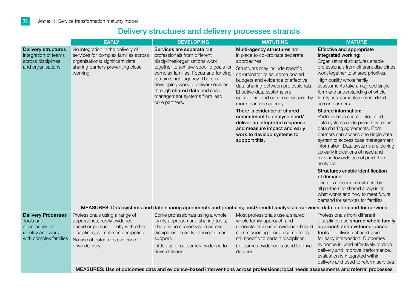## Delivery structures and delivery processes strands

|                                                                                                              | <b>EARLY</b>                                                                                                                                                                                    | <b>DEVELOPING</b>                                                                                                                                                                                                                                                                                                                       |                                                                                                                                                                                                                                                                                                                               | <b>MATURE</b>                                                                                                                                                                                                                                                                                                                                                                                                                                                                                                                              |  |
|--------------------------------------------------------------------------------------------------------------|-------------------------------------------------------------------------------------------------------------------------------------------------------------------------------------------------|-----------------------------------------------------------------------------------------------------------------------------------------------------------------------------------------------------------------------------------------------------------------------------------------------------------------------------------------|-------------------------------------------------------------------------------------------------------------------------------------------------------------------------------------------------------------------------------------------------------------------------------------------------------------------------------|--------------------------------------------------------------------------------------------------------------------------------------------------------------------------------------------------------------------------------------------------------------------------------------------------------------------------------------------------------------------------------------------------------------------------------------------------------------------------------------------------------------------------------------------|--|
| <b>Delivery structures</b><br>Integration of teams<br>across disciplines<br>and organisations                | No integration in the delivery of<br>services for complex families across<br>organisations; significant data<br>sharing barriers preventing close<br>working.                                   | Services are separate but<br>professionals from different<br>disciplineslorganisations work<br>together to achieve specific goals for<br>complex families. Focus and funding<br>remain single agency. There is<br>developing work to deliver services<br>through shared data and case<br>management systems from lead<br>core partners. | Multi-agency structures are<br>in place to co-ordinate separate<br>approaches.<br>Structures may include specific<br>co-ordinator roles, some pooled<br>budgets and evidence of effective<br>data sharing between professionals.<br>Effective data systems are<br>operational and can be accessed by<br>more than one agency. | <b>Effective and appropriate</b><br>integrated working:<br>Organisational structures enable<br>professionals from different disciplines<br>work together to shared priorities.<br>High quality whole family<br>assessments take an agreed single<br>form and understanding of whole<br>family assessments is embedded<br>across partners.                                                                                                                                                                                                  |  |
|                                                                                                              |                                                                                                                                                                                                 |                                                                                                                                                                                                                                                                                                                                         | There is evidence of shared<br>commitment to analyse need/<br>deliver an integrated response<br>and measure impact and early<br>work to develop systems to<br>support this.                                                                                                                                                   | Shared information:<br>Partners have shared integrated<br>data systems underpinned by robust<br>data sharing agreements. Core<br>partners can access one single data<br>system to access case management<br>information. Data systems are picking<br>up early indications of need and<br>moving towards use of predictive<br>analytics.<br>Structures enable identification<br>of demand<br>There is a clear commitment by<br>all partners to shared analysis of<br>what works and how to meet future<br>demand for services for families. |  |
|                                                                                                              | MEASURES: Data systems and data sharing agreements and practices; cost/benefit analysis of services; data on demand for services                                                                |                                                                                                                                                                                                                                                                                                                                         |                                                                                                                                                                                                                                                                                                                               |                                                                                                                                                                                                                                                                                                                                                                                                                                                                                                                                            |  |
| <b>Delivery Processes</b><br><b>Tools and</b><br>approaches to<br>identify and work<br>with complex families | Professionals using a range of<br>approaches, rarely evidence-<br>based or pursued jointly with other<br>disciplines, sometimes competing.<br>No use of outcomes evidence to<br>drive delivery. | Some professionals using a whole<br>family approach and sharing tools,<br>There is no shared vision across<br>disciplines on early intervention and<br>support.<br>Little use of outcomes evidence to<br>drive delivery.                                                                                                                | Most professionals use a shared<br>whole family approach and<br>understand value of evidence-based<br>commissioning though some tools<br>still specific to certain disciplines.<br>Outcomes evidence is used to drive<br>delivery.                                                                                            | Professionals from different<br>disciplines use shared whole family<br>approach and evidence-based<br>tools to deliver a shared vision<br>for early intervention. Outcomes<br>evidence is used effectively to drive<br>delivery and improve performance,<br>evaluation is integrated within<br>delivery and used to reform services.                                                                                                                                                                                                       |  |
|                                                                                                              | MEASURES: Use of outcomes data and evidence-based interventions across professions; local needs assessments and referral processes                                                              |                                                                                                                                                                                                                                                                                                                                         |                                                                                                                                                                                                                                                                                                                               |                                                                                                                                                                                                                                                                                                                                                                                                                                                                                                                                            |  |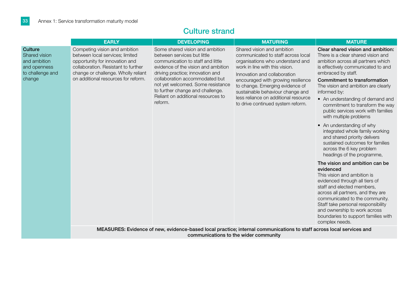| <b>EARLY</b><br><b>DEVELOPING</b><br><b>MATURING</b><br>Competing vision and ambition<br>Some shared vision and ambition<br>Shared vision and ambition<br>between local services; limited<br>between services but little<br>communicated to staff across local<br>opportunity for innovation and<br>communication to staff and little<br>organisations who understand and<br>collaboration. Resistant to further<br>evidence of the vision and ambition<br>work in line with this vision.<br>change or challenge. Wholly reliant<br>driving practice; innovation and<br>Innovation and collaboration<br>on additional resources for reform.<br>collaboration accommodated but<br>encouraged with growing resilience<br>not yet welcomed. Some resistance<br>to change. Emerging evidence of<br>to further change and challenge.<br>sustainable behaviour change and<br>Reliant on additional resources to<br>less reliance on additional resource<br>reform.<br>to drive continued system reform. |                                                                                                                                                                                                                                                                                                                                                                                                                                                                                                                                                                                                                                                                                                                                                                                                                                                                                                                                                          |
|---------------------------------------------------------------------------------------------------------------------------------------------------------------------------------------------------------------------------------------------------------------------------------------------------------------------------------------------------------------------------------------------------------------------------------------------------------------------------------------------------------------------------------------------------------------------------------------------------------------------------------------------------------------------------------------------------------------------------------------------------------------------------------------------------------------------------------------------------------------------------------------------------------------------------------------------------------------------------------------------------|----------------------------------------------------------------------------------------------------------------------------------------------------------------------------------------------------------------------------------------------------------------------------------------------------------------------------------------------------------------------------------------------------------------------------------------------------------------------------------------------------------------------------------------------------------------------------------------------------------------------------------------------------------------------------------------------------------------------------------------------------------------------------------------------------------------------------------------------------------------------------------------------------------------------------------------------------------|
| <b>Culture</b><br><b>Shared vision</b><br>and ambition<br>and openness<br>to challenge and<br>change                                                                                                                                                                                                                                                                                                                                                                                                                                                                                                                                                                                                                                                                                                                                                                                                                                                                                              | <b>MATURE</b>                                                                                                                                                                                                                                                                                                                                                                                                                                                                                                                                                                                                                                                                                                                                                                                                                                                                                                                                            |
|                                                                                                                                                                                                                                                                                                                                                                                                                                                                                                                                                                                                                                                                                                                                                                                                                                                                                                                                                                                                   | Clear shared vision and ambition:<br>There is a clear shared vision and<br>ambition across all partners which<br>is effectively communicated to and<br>embraced by staff.<br>Commitment to transformation<br>The vision and ambition are clearly<br>informed by:<br>• An understanding of demand and<br>commitment to transform the way<br>public services work with families<br>with multiple problems<br>• An understanding of why<br>integrated whole family working<br>and shared priority delivers<br>sustained outcomes for families<br>across the 6 key problem<br>headings of the programme,<br>The vision and ambition can be<br>evidenced<br>This vision and ambition is<br>evidenced through all tiers of<br>staff and elected members,<br>across all partners, and they are<br>communicated to the community.<br>Staff take personal responsibility<br>and ownership to work across<br>boundaries to support families with<br>complex needs. |
| MEASURES: Evidence of new, evidence-based local practice; internal communications to staff across local services and<br>communications to the wider community                                                                                                                                                                                                                                                                                                                                                                                                                                                                                                                                                                                                                                                                                                                                                                                                                                     |                                                                                                                                                                                                                                                                                                                                                                                                                                                                                                                                                                                                                                                                                                                                                                                                                                                                                                                                                          |

### Culture strand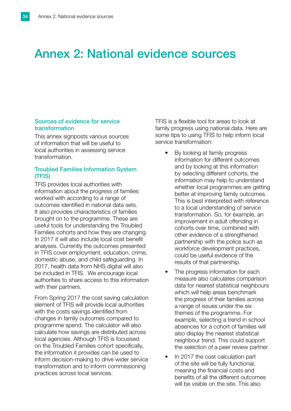## Annex 2: National evidence sources

#### Sources of evidence for service transformation

This annex signposts various sources of information that will be useful to local authorities in assessing service transformation.

#### Troubled Families Information System (TFIS)

TFIS provides local authorities with information about the progress of families worked with according to a range of outcomes identified in national data sets. It also provides characteristics of families brought on to the programme. These are useful tools for understanding the Troubled Families cohorts and how they are changing. In 2017 it will also include local cost benefit analyses. Currently the outcomes presented in TFIS cover employment, education, crime, domestic abuse, and child safeguarding. In 2017, health data from NHS digital will also be included in TFIS. We encourage local authorities to share access to this information with their partners.

From Spring 2017 the cost saving calculation element of TFIS will provide local authorities with the costs savings identified from changes in family outcomes compared to programme spend. The calculator will also calculate how savings are distributed across local agencies. Although TFIS is focussed on the Troubled Families cohort specifically, the information it provides can be used to inform decision-making to drive wider service transformation and to inform commissioning practices across local services.

TFIS is a flexible tool for areas to look at family progress using national data. Here are some tips to using TFIS to help inform local service transformation:

- By looking at family progress information for different outcomes and by looking at this information by selecting different cohorts, the information may help to understand whether local programmes are getting better at improving family outcomes. This is best interpreted with reference to a local understanding of service transformation. So, for example, an improvement in adult offending in cohorts over time, combined with other evidence of a strengthened partnership with the police such as workforce development practices, could be useful evidence of the results of that partnership.
- The progress information for each measure also calculates comparison data for nearest statistical neighbours which will help areas benchmark the progress of their families across a range of issues under the six themes of the programme. For example, selecting a trend in school absences for a cohort of families will also display the nearest statistical neighbour trend. This could support the selection of a peer review partner.
- In 2017 the cost calculation part of the site will be fully functional, meaning the financial costs and benefits of all the different outcomes will be visible on the site. This also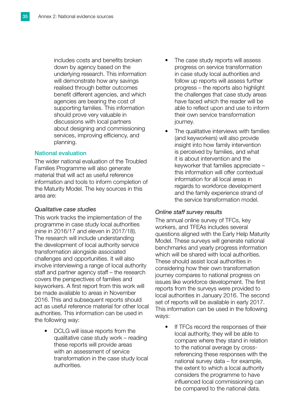includes costs and benefits broken down by agency based on the underlying research. This information will demonstrate how any savings realised through better outcomes benefit different agencies, and which agencies are bearing the cost of supporting families. This information should prove very valuable in discussions with local partners about designing and commissioning services, improving efficiency, and planning.

#### National evaluation

The wider national evaluation of the Troubled Families Programme will also generate material that will act as useful reference information and tools to inform completion of the Maturity Model. The key sources in this area are:

#### *Qualitative case studies*

This work tracks the implementation of the programme in case study local authorities (nine in 2016/17 and eleven in 2017/18). The research will include understanding the development of local authority service transformation alongside associated challenges and opportunities. It will also involve interviewing a range of local authority staff and partner agency staff – the research covers the perspectives of families and keyworkers. A first report from this work will be made available to areas in November 2016. This and subsequent reports should act as useful reference material for other local authorities. This information can be used in the following way:

• DCLG will issue reports from the qualitative case study work – reading these reports will provide areas with an assessment of service transformation in the case study local authorities.

- The case study reports will assess progress on service transformation in case study local authorities and follow up reports will assess further progress – the reports also highlight the challenges that case study areas have faced which the reader will be able to reflect upon and use to inform their own service transformation journey.
- The qualitative interviews with families (and keyworkers) will also provide insight into how family intervention is perceived by families, and what it is about intervention and the keyworker that families appreciate – this information will offer contextual information for all local areas in regards to workforce development and the family experience strand of the service transformation model.

#### *Online staff survey results*

The annual online survey of TFCs, key workers, and TFEAs includes several questions aligned with the Early Help Maturity Model. These surveys will generate national benchmarks and yearly progress information which will be shared with local authorities. These should assist local authorities in considering how their own transformation journey compares to national progress on issues like workforce development. The first reports from the surveys were provided to local authorities in January 2016. The second set of reports will be available in early 2017. This information can be used in the following ways:

If TFCs record the responses of their local authority, they will be able to compare where they stand in relation to the national average by crossreferencing these responses with the national survey data – for example, the extent to which a local authority considers the programme to have influenced local commissioning can be compared to the national data.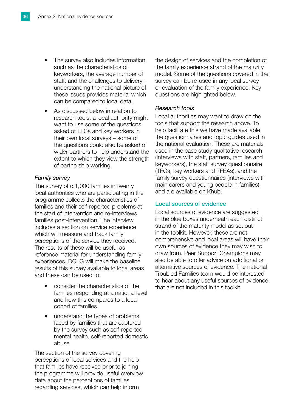- The survey also includes information such as the characteristics of keyworkers, the average number of staff, and the challenges to delivery – understanding the national picture of these issues provides material which can be compared to local data.
- As discussed below in relation to research tools, a local authority might want to use some of the questions asked of TFCs and key workers in their own local surveys – some of the questions could also be asked of wider partners to help understand the extent to which they view the strength of partnership working.

#### *Family survey*

The survey of c.1,000 families in twenty local authorities who are participating in the programme collects the characteristics of families and their self-reported problems at the start of intervention and re-interviews families post-intervention. The interview includes a section on service experience which will measure and track family perceptions of the service they received. The results of these will be useful as reference material for understanding family experiences. DCLG will make the baseline results of this survey available to local areas and these can be used to:

- consider the characteristics of the families responding at a national level and how this compares to a local cohort of families
- understand the types of problems faced by families that are captured by the survey such as self-reported mental health, self-reported domestic abuse

The section of the survey covering perceptions of local services and the help that families have received prior to joining the programme will provide useful overview data about the perceptions of families regarding services, which can help inform

the design of services and the completion of the family experience strand of the maturity model. Some of the questions covered in the survey can be re-used in any local survey or evaluation of the family experience. Key questions are highlighted below.

#### *Research tools*

Local authorities may want to draw on the tools that support the research above. To help facilitate this we have made available the questionnaires and topic guides used in the national evaluation. These are materials used in the case study qualitative research (interviews with staff, partners, families and keyworkers), the staff survey questionnaire (TFCs, key workers and TFEAs), and the family survey questionnaires (interviews with main carers and young people in families), and are available on Khub.

#### Local sources of evidence

Local sources of evidence are suggested in the blue boxes underneath each distinct strand of the maturity model as set out in the toolkit. However, these are not comprehensive and local areas will have their own sources of evidence they may wish to draw from. Peer Support Champions may also be able to offer advice on additional or alternative sources of evidence. The national Troubled Families team would be interested to hear about any useful sources of evidence that are not included in this toolkit.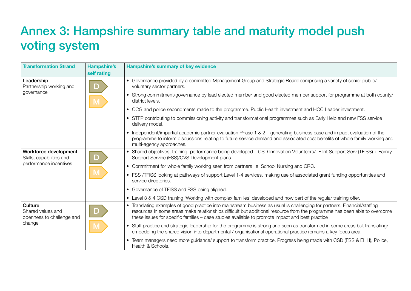## Annex 3: Hampshire summary table and maturity model push voting system

| <b>Transformation Strand</b>                                        | <b>Hampshire's</b> | Hampshire's summary of key evidence                                                                                                                                                                                                                                                                                                                     |
|---------------------------------------------------------------------|--------------------|---------------------------------------------------------------------------------------------------------------------------------------------------------------------------------------------------------------------------------------------------------------------------------------------------------------------------------------------------------|
|                                                                     | self rating        |                                                                                                                                                                                                                                                                                                                                                         |
| Leadership<br>Partnership working and<br>governance                 | <b>D</b>           | • Governance provided by a committed Management Group and Strategic Board comprising a variety of senior public/<br>voluntary sector partners.                                                                                                                                                                                                          |
|                                                                     |                    | • Strong commitment/governance by lead elected member and good elected member support for programme at both county/<br>district levels.                                                                                                                                                                                                                 |
|                                                                     |                    | • CCG and police secondments made to the programme. Public Health investment and HCC Leader investment.                                                                                                                                                                                                                                                 |
|                                                                     |                    | • STFP contributing to commissioning activity and transformational programmes such as Early Help and new FSS service<br>delivery model.                                                                                                                                                                                                                 |
|                                                                     |                    | • Independent/impartial academic partner evaluation Phase 1 & 2 - generating business case and impact evaluation of the<br>programme to inform discussions relating to future service demand and associated cost benefits of whole family working and<br>multi-agency approaches.                                                                       |
| Workforce development<br>Skills, capabilities and                   | D                  | • Shared objectives, training, performance being developed - CSD Innovation Volunteers/TF Int Support Serv (TFISS) + Family<br>Support Service (FSS)/CVS Development plans.                                                                                                                                                                             |
| performance incentives                                              |                    | • Commitment for whole family working seen from partners i.e. School Nursing and CRC.                                                                                                                                                                                                                                                                   |
|                                                                     |                    | • FSS /TFISS looking at pathways of support Level 1-4 services, making use of associated grant funding opportunities and<br>service directories.                                                                                                                                                                                                        |
|                                                                     |                    | • Governance of TFISS and FSS being aligned.                                                                                                                                                                                                                                                                                                            |
|                                                                     |                    | • Level 3 & 4 CSD training 'Working with complex families' developed and now part of the regular training offer.                                                                                                                                                                                                                                        |
| Culture<br>Shared values and<br>openness to challenge and<br>change |                    | Translating examples of good practice into mainstream business as usual is challenging for partners. Financial/staffing<br>resources in some areas make relationships difficult but additional resource from the programme has been able to overcome<br>these issues for specific families - case studies available to promote impact and best practice |
|                                                                     |                    | • Staff practice and strategic leadership for the programme is strong and seen as transformed in some areas but translating/<br>embedding the shared vision into departmental / organisational operational practice remains a key focus area.                                                                                                           |
|                                                                     |                    | Team managers need more guidance/ support to transform practice. Progress being made with CSD (FSS & EHH), Police,<br>Health & Schools.                                                                                                                                                                                                                 |